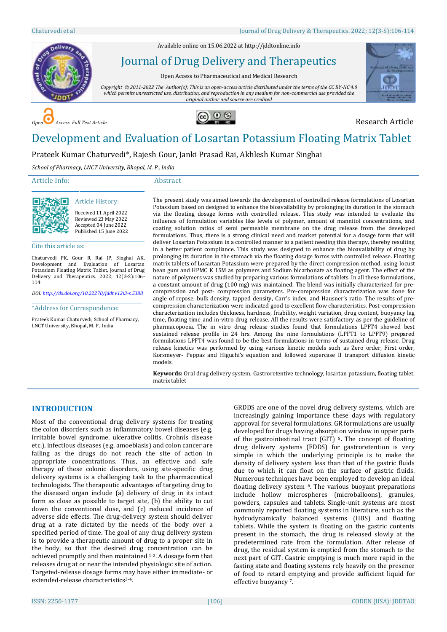Available online on 15.06.2022 a[t http://jddtonline.info](http://jddtonline.info/)

# Journal of Drug Delivery and Therapeutics Open Access to Pharmaceutical and Medical Research



*Copyright © 2011-2022 The Author(s): This is an open-access article distributed under the terms of the CC BY-NC 4.0 which permits unrestricted use, distribution, and reproduction in any medium for non-commercial use provided the original author and source are credited*





## Development and Evaluation of Losartan Potassium Floating Matrix Tablet

Prateek Kumar Chaturvedi\*, Rajesh Gour, Janki Prasad Rai, Akhlesh Kumar Singhai

*School of Pharmacy, LNCT University, Bhopal, M. P., India*

#### Article Info:

#### Abstract



#### Article History: Received 11 April 2022 Reviewed 23 May 2022

\_\_\_\_\_\_\_\_\_\_\_\_\_\_\_\_\_\_\_\_\_\_\_\_\_\_\_\_\_\_\_\_\_\_\_\_\_\_\_\_\_\_\_\_\_

Accepted 04 June 2022 Published 15 June 2022 \_\_\_\_\_\_\_\_\_\_\_\_\_\_\_\_\_\_\_\_\_\_\_\_\_\_\_\_\_\_\_\_\_\_\_\_\_\_\_\_\_\_\_\_\_

Cite this article as:

Chaturvedi PK, Gour R, Rai JP, Singhai AK, Development and Evaluation of Losartan Potassium Floating Matrix Tablet, Journal of Drug Delivery and Therapeutics. 2022; 12(3-S):106- 114

*DOI[: http://dx.doi.org/10.22270/jddt.v12i3-s.5388](http://dx.doi.org/10.22270/jddt.v12i3-s.5388)*  \_\_\_\_\_\_\_\_\_\_\_\_\_\_\_\_\_\_\_\_\_\_\_\_\_\_\_\_\_\_\_\_\_\_\_\_\_\_\_\_\_\_\_\_

\*Address for Correspondence:

Prateek Kumar Chaturvedi, School of Pharmacy, LNCT University, Bhopal, M. P., India

The present study was aimed towards the development of controlled release formulations of Losartan Potassium based on designed to enhance the bioavailability by prolonging its duration in the stomach via the floating dosage forms with controlled release. This study was intended to evaluate the influence of formulation variables like levels of polymer, amount of mannitol concentrations, and coating solution ratios of semi permeable membrane on the drug release from the developed formulations. Thus, there is a strong clinical need and market potential for a dosage form that will deliver Losartan Potassium in a controlled manner to a patient needing this therapy, thereby resulting in a better patient compliance. This study was designed to enhance the bioavailability of drug by prolonging its duration in the stomach via the floating dosage forms with controlled release. Floating matrix tablets of Losartan Potassium were prepared by the direct compression method, using locust bean gum and HPMC K 15M as polymers and Sodium bicarbonate as floating agent. The effect of the nature of polymers was studied by preparing various formulations of tablets. In all these formulations, a constant amount of drug (100 mg) was maintained. The blend was initially characterized for precompression and post- compression parameters. Pre-compression characterization was done for angle of repose, bulk density, tapped density, Carr's index, and Hausner's ratio. The results of precompression characterization were indicated good to excellent flow characteristics. Post-compression characterization includes thickness, hardness, friability, weight variation, drug content, buoyancy lag time, floating time and in-vitro drug release. All the results were satisfactory as per the guideline of pharmacopoeia. The in vitro drug release studies found that formulations LPFT4 showed best sustained release profile in 24 hrs. Among the nine formulations (LPFT1 to LPFT9) prepared formulations LPFT4 was found to be the best formulations in terms of sustained drug release. Drug release kinetics was performed by using various kinetic models such as Zero order, First order, Korsmeyer- Peppas and Higuchi's equation and followed supercase II transport diffusion kinetic models.

\_\_\_\_\_\_\_\_\_\_\_\_\_\_\_\_\_\_\_\_\_\_\_\_\_\_\_\_\_\_\_\_\_\_\_\_\_\_\_\_\_\_\_\_\_\_\_\_\_\_\_\_\_\_\_\_\_\_\_\_\_\_\_\_\_\_\_\_\_\_\_\_\_\_\_\_\_\_\_\_\_\_\_\_\_\_\_\_\_\_\_\_\_\_\_\_\_\_\_\_\_\_\_\_\_\_\_\_\_\_\_\_\_\_\_

**Keywords:** Oral drug delivery system, Gastroretentive technology, losartan potassium, floating tablet, matrix tablet

### **INTRODUCTION**

Most of the conventional drug delivery systems for treating the colon disorders such as inflammatory bowel diseases (e.g. irritable bowel syndrome, ulcerative colitis, Crohnís disease etc.), infectious diseases (e.g. amoebiasis) and colon cancer are failing as the drugs do not reach the site of action in appropriate concentrations. Thus, an effective and safe therapy of these colonic disorders, using site-specific drug delivery systems is a challenging task to the pharmaceutical technologists. The therapeutic advantages of targeting drug to the diseased organ include (a) delivery of drug in its intact form as close as possible to target site, (b) the ability to cut down the conventional dose, and (c) reduced incidence of adverse side effects. The drug-delivery system should deliver drug at a rate dictated by the needs of the body over a specified period of time. The goal of any drug delivery system is to provide a therapeutic amount of drug to a proper site in the body, so that the desired drug concentration can be achieved promptly and then maintained 1-2. A dosage form that releases drug at or near the intended physiologic site of action. Targeted-release dosage forms may have either immediate- or extended-release characteristics<sup>3-4</sup>.

GRDDS are one of the novel drug delivery systems, which are increasingly gaining importance these days with regulatory approval for several formulations. GR formulations are usually developed for drugs having absorption window in upper parts of the gastrointestinal tract (GIT) <sup>5</sup>**.** The concept of floating drug delivery systems (FDDS) for gastroretention is very simple in which the underlying principle is to make the density of delivery system less than that of the gastric fluids due to which it can float on the surface of gastric fluids. Numerous techniques have been employed to develop an ideal floating delivery system 6. The various buoyant preparations include hollow microspheres (microballoons), granules, powders, capsules and tablets. Single-unit systems are most commonly reported floating systems in literature, such as the hydrodynamically balanced systems (HBS) and floating tablets. While the system is floating on the gastric contents present in the stomach, the drug is released slowly at the predetermined rate from the formulation. After release of drug, the residual system is emptied from the stomach to the next part of GIT. Gastric emptying is much more rapid in the fasting state and floating systems rely heavily on the presence of food to retard emptying and provide sufficient liquid for effective buoyancy 7.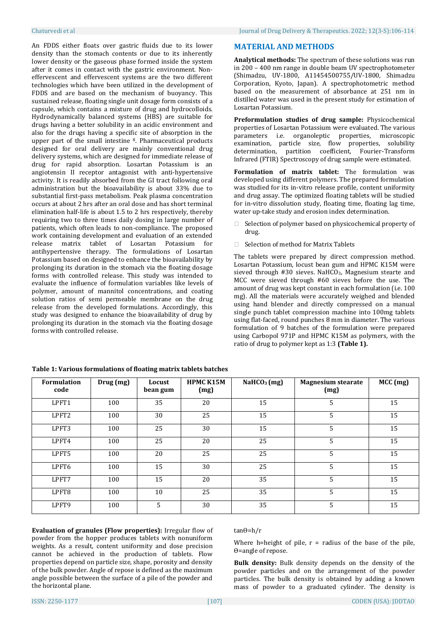An FDDS either floats over gastric fluids due to its lower density than the stomach contents or due to its inherently lower density or the gaseous phase formed inside the system after it comes in contact with the gastric environment. Noneffervescent and effervescent systems are the two different technologies which have been utilized in the development of FDDS and are based on the mechanism of buoyancy. This sustained release, floating single unit dosage form consists of a capsule, which contains a mixture of drug and hydrocolloids. Hydrodynamically balanced systems (HBS) are suitable for drugs having a better solubility in an acidic environment and also for the drugs having a specific site of absorption in the upper part of the small intestine 8. Pharmaceutical products designed for oral delivery are mainly conventional drug delivery systems, which are designed for immediate release of drug for rapid absorption. Losartan Potassium is an angiotensin II receptor antagonist with anti-hypertensive activity. It is readily absorbed from the GI tract following oral administration but the bioavailability is about 33% due to substantial first-pass metabolism. Peak plasma concentration occurs at about 2 hrs after an oral dose and has short terminal elimination half-life is about 1.5 to 2 hrs respectively, thereby requiring two to three times daily dosing in large number of patients, which often leads to non-compliance. The proposed work containing development and evaluation of an extended release matrix tablet of Losartan Potassium for antihypertensive therapy. The formulations of Losartan Potassium based on designed to enhance the bioavailability by prolonging its duration in the stomach via the floating dosage forms with controlled release. This study was intended to evaluate the influence of formulation variables like levels of polymer, amount of mannitol concentrations, and coating solution ratios of semi permeable membrane on the drug release from the developed formulations. Accordingly, this study was designed to enhance the bioavailability of drug by prolonging its duration in the stomach via the floating dosage forms with controlled release.

#### **MATERIAL AND METHODS**

**Analytical methods:** The spectrum of these solutions was run in 200 – 400 nm range in double beam UV spectrophotometer (Shimadzu, UV-1800, A11454500755/UV-1800, Shimadzu Corporation, Kyoto, Japan). A spectrophotometric method based on the measurement of absorbance at 251 nm in distilled water was used in the present study for estimation of Losartan Potassium.

**Preformulation studies of drug sample:** Physicochemical properties of Losartan Potassium were evaluated. The various parameters i.e. organoleptic properties, microscopic examination, particle size, flow properties, solubility determination, partition coefficient, Fourier-Transform Infrared (FTIR) Spectroscopy of drug sample were estimated.

**Formulation of matrix tablet:** The formulation was developed using different polymers. The prepared formulation was studied for its in-vitro release profile, content uniformity and drug assay. The optimized floating tablets will be studied for in-vitro dissolution study, floating time, floating lag time, water up-take study and erosion index determination.

- $\Box$  Selection of polymer based on physicochemical property of drug.
- □ Selection of method for Matrix Tablets

The tablets were prepared by direct compression method. Losartan Potassium, locust bean gum and HPMC K15M were sieved through #30 sieves. NaHCO<sub>3</sub>, Magnesium stearte and MCC were sieved through #60 sieves before the use. The amount of drug was kept constant in each formulation (i.e. 100 mg). All the materials were accurately weighed and blended using hand blender and directly compressed on a manual single punch tablet compression machine into 100mg tablets using flat-faced, round punches 8 mm in diameter. The various formulation of 9 batches of the formulation were prepared using Carbopol 971P and HPMC K15M as polymers, with the ratio of drug to polymer kept as 1:3 **(Table 1).**

| <b>Formulation</b><br>code | Drug (mg) | Locust<br>bean gum | <b>HPMC K15M</b><br>(mg) | NaHCO <sub>3</sub> (mg) | <b>Magnesium stearate</b><br>(mg) | MCC (mg) |
|----------------------------|-----------|--------------------|--------------------------|-------------------------|-----------------------------------|----------|
| LPFT1                      | 100       | 35                 | 20                       | 15                      | 5                                 | 15       |
| LPFT2                      | 100       | 30                 | 25                       | 15                      | 5                                 | 15       |
| LPFT3                      | 100       | 25                 | 30                       | 15                      | 5                                 | 15       |
| LPFT4                      | 100       | 25                 | 20                       | 25                      | 5                                 | 15       |
| LPFT5                      | 100       | 20                 | 25                       | 25                      | 5                                 | 15       |
| LPFT6                      | 100       | 15                 | 30                       | 25                      | 5                                 | 15       |
| LPFT7                      | 100       | 15                 | 20                       | 35                      | 5                                 | 15       |
| LPFT8                      | 100       | 10                 | 25                       | 35                      | 5                                 | 15       |
| LPFT9                      | 100       | 5                  | 30                       | 35                      | 5                                 | 15       |

|  | Table 1: Various formulations of floating matrix tablets batches |  |  |
|--|------------------------------------------------------------------|--|--|
|  |                                                                  |  |  |

**Evaluation of granules (Flow properties):** Irregular flow of powder from the hopper produces tablets with nonuniform weights. As a result, content uniformity and dose precision cannot be achieved in the production of tablets. Flow properties depend on particle size, shape, porosity and density of the bulk powder. Angle of repose is defined as the maximum angle possible between the surface of a pile of the powder and the horizontal plane.

#### tanϴ=h/r

Where h=height of pile,  $r =$  radius of the base of the pile, ϴ=angle of repose.

**Bulk density:** Bulk density depends on the density of the powder particles and on the arrangement of the powder particles. The bulk density is obtained by adding a known mass of powder to a graduated cylinder. The density is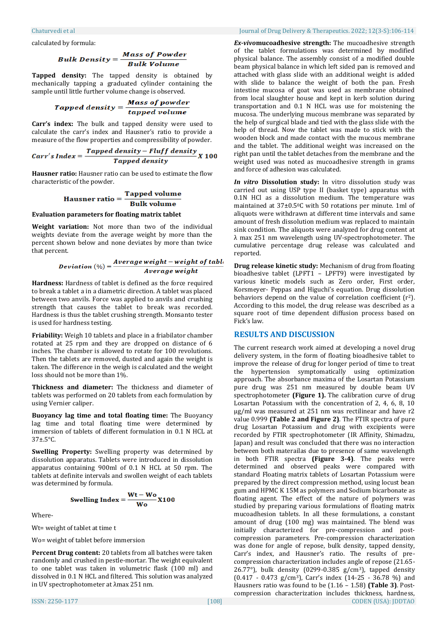calculated by formula:

# **Bulk Density =**  $\frac{Mass\ of\ Power}{Bulk\ Volume}$

**Tapped density:** The tapped density is obtained by mechanically tapping a graduated cylinder containing the sample until little further volume change is observed.

$$
Tapped\ density = \frac{Mass\ of\ powder}{tapped\ volume}
$$

**Carr's index:** The bulk and tapped density were used to calculate the carr's index and Hausner's ratio to provide a measure of the flow properties and compressibility of powder.

Carr's Index = 
$$
\frac{Tapped density - Fluff density}{Tapped density} X 100
$$

**Hausner ratio:** Hausner ratio can be used to estimate the flow characteristic of the powder.

$$
Hausner ratio = \frac{Tapped volume}{Bulk volume}
$$

#### **Evaluation parameters for floating matrix tablet**

**Weight variation:** Not more than two of the individual weights deviate from the average weight by more than the percent shown below and none deviates by more than twice that percent.

**Deviation** 
$$
(\%) = \frac{Average weight - weight of tabl}{Average weight}
$$

**Hardness:** Hardness of tablet is defined as the force required to break a tablet a in a diametric direction. A tablet was placed between two anvils. Force was applied to anvils and crushing strength that causes the tablet to break was recorded. Hardness is thus the tablet crushing strength. Monsanto tester is used for hardness testing.

**Friability:** Weigh 10 tablets and place in a friabilator chamber rotated at 25 rpm and they are dropped on distance of 6 inches. The chamber is allowed to rotate for 100 revolutions. Then the tablets are removed, dusted and again the weight is taken. The difference in the weigh is calculated and the weight loss should not be more than 1%.

**Thickness and diameter:** The thickness and diameter of tablets was performed on 20 tablets from each formulation by using Vernier caliper.

**Buoyancy lag time and total floating time:** The Buoyancy lag time and total floating time were determined by immersion of tablets of different formulation in 0.1 N HCL at 37±.5°C.

**Swelling Property:** Swelling property was determined by dissolution apparatus. Tablets were introduced in dissolution apparatus containing 900ml of 0.1 N HCL at 50 rpm. The tablets at definite intervals and swollen weight of each tablets was determined by formula.

Swelling Index = 
$$
\frac{Wt - Wo}{Wo}X100
$$

Where-

Wt= weight of tablet at time t

Wo= weight of tablet before immersion

**Percent Drug content:** 20 tablets from all batches were taken randomly and crushed in pestle-mortar. The weight equivalent to one tablet was taken in volumetric flask (100 ml) and dissolved in 0.1 N HCL and filtered. This solution was analyzed in UV spectrophotometer at λmax 251 nm.

#### Chaturvedi et al Journal of Drug Delivery & Therapeutics. 2022; 12(3-S):106-114

*Ex-vivo***mucoadhesive strength:** The mucoadhesive strength of the tablet formulations was determined by modified physical balance. The assembly consist of a modified double beam physical balance in which left sided pan is removed and attached with glass slide with an additional weight is added with slide to balance the weight of both the pan. Fresh intestine mucosa of goat was used as membrane obtained from local slaughter house and kept in kerb solution during transportation and 0.1 N HCL was use for moistening the mucosa. The underlying mucous membrane was separated by the help of surgical blade and tied with the glass slide with the help of thread. Now the tablet was made to stick with the wooden block and made contact with the mucous membrane and the tablet. The additional weight was increased on the right pan until the tablet detaches from the membrane and the weight used was noted as mucoadhesive strength in grams and force of adhesion was calculated.

*In vitro* **Dissolution study:** In vitro dissolution study was carried out using USP type II (basket type) apparatus with 0.1N HCl as a dissolution medium. The temperature was maintained at 37±0.50C with 50 rotations per minute. 1ml of aliquots were withdrawn at different time intervals and same amount of fresh dissolution medium was replaced to maintain sink condition. The aliquots were analyzed for drug content at λ max 251 nm wavelength using UV-spectrophotometer. The cumulative percentage drug release was calculated and reported.

**Drug release kinetic study:** Mechanism of drug from floating bioadhesive tablet (LPFT1 – LPFT9) were investigated by various kinetic models such as Zero order, First order, Korsmeyer- Peppas and Higuchi's equation. Drug dissolution behaviors depend on the value of correlation coefficient (r2). According to this model, the drug release was described as a square root of time dependent diffusion process based on Fick's law.

#### **RESULTS AND DISCUSSION**

ISSN: 2250-1177 [108] CODEN (USA): JDDTAO The current research work aimed at developing a novel drug delivery system, in the form of floating bioadhesive tablet to improve the release of drug for longer period of time to treat the hypertension symptomatically using optimization approach. The absorbance maxima of the Losartan Potassium pure drug was 251 nm measured by double beam UV spectrophotometer **(Figure 1).** The calibration curve of drug Losartan Potassium with the concentration of 2, 4, 6, 8, 10 µg/ml was measured at 251 nm was rectilinear and have r2 value 0.999 **(Table 2 and Figure 2)**. The FTIR spectra of pure drug Losartan Potassium and drug with excipients were recorded by FTIR spectrophotometer (IR Affinity, Shimadzu, Japan) and result was concluded that there was no interaction between both materailas due to presence of same wavelength in both FTIR spectra **(Figure 3-4)**. The peaks were determined and observed peaks were compared with standard Floating matrix tablets of Losartan Potassium were prepared by the direct compression method, using locust bean gum and HPMC K 15M as polymers and Sodium bicarbonate as floating agent. The effect of the nature of polymers was studied by preparing various formulations of floating matrix mucoadhesion tablets. In all these formulations, a constant amount of drug (100 mg) was maintained. The blend was initially characterized for pre-compression and postcompression parameters. Pre-compression characterization was done for angle of repose, bulk density, tapped density, Carr's index, and Hausner's ratio. The results of precompression characterization includes angle of repose (21.65- 26.77°), bulk density (0299-0.385 g/cm3), tapped density  $(0.417 - 0.473$  g/cm<sup>3</sup>), Carr's index  $(14-25 - 36.78$  %) and Hausners ratio was found to be (1.16 – 1.58) **(Table 3)**. Postcompression characterization includes thickness, hardness,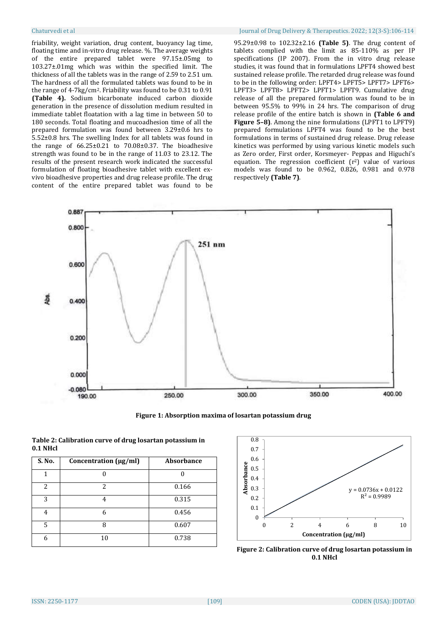friability, weight variation, drug content, buoyancy lag time, floating time and in-vitro drug release. %. The average weights of the entire prepared tablet were 97.15±.05mg to 103.27±.01mg which was within the specified limit. The thickness of all the tablets was in the range of 2.59 to 2.51 um. The hardness of all the formulated tablets was found to be in the range of 4-7kg/cm2. Friability was found to be 0.31 to 0.91 **(Table 4).** Sodium bicarbonate induced carbon dioxide generation in the presence of dissolution medium resulted in immediate tablet floatation with a lag time in between 50 to 180 seconds. Total floating and mucoadhesion time of all the prepared formulation was found between 3.29±0.6 hrs to 5.52±0.8 hrs. The swelling Index for all tablets was found in the range of  $66.25 \pm 0.21$  to  $70.08 \pm 0.37$ . The bioadhesive strength was found to be in the range of 11.03 to 23.12. The results of the present research work indicated the successful formulation of floating bioadhesive tablet with excellent exvivo bioadhesive properties and drug release profile. The drug content of the entire prepared tablet was found to be

#### Chaturvedi et al Journal of Drug Delivery & Therapeutics. 2022; 12(3-S):106-114

95.29±0.98 to 102.32±2.16 **(Table 5)**. The drug content of tablets complied with the limit as 85-110% as per IP specifications (IP 2007). From the in vitro drug release studies, it was found that in formulations LPFT4 showed best sustained release profile. The retarded drug release was found to be in the following order: LPFT4> LPFT5> LPFT7> LPFT6> LPFT3> LPFT8> LPFT2> LPFT1> LPFT9. Cumulative drug release of all the prepared formulation was found to be in between 95.5% to 99% in 24 hrs. The comparison of drug release profile of the entire batch is shown in **(Table 6 and Figure 5–8)**. Among the nine formulations (LPFT1 to LPFT9) prepared formulations LPFT4 was found to be the best formulations in terms of sustained drug release. Drug release kinetics was performed by using various kinetic models such as Zero order, First order, Korsmeyer- Peppas and Higuchi's equation. The regression coefficient  $(r^2)$  value of various models was found to be 0.962, 0.826, 0.981 and 0.978 respectively **(Table 7)**.



**Figure 1: Absorption maxima of losartan potassium drug**

| S. No. | Concentration (µg/ml) | <b>Absorbance</b> |
|--------|-----------------------|-------------------|
|        |                       |                   |
| 2      | 2                     | 0.166             |
| 3      | 4                     | 0.315             |
| 4      | ĥ                     | 0.456             |
| 5      | я                     | 0.607             |
| 6      | 10                    | 0.738             |



**Figure 2: Calibration curve of drug losartan potassium in 0.1 NHcl**

| Table 2: Calibration curve of drug losartan potassium in |
|----------------------------------------------------------|
| 0.1 NHcl                                                 |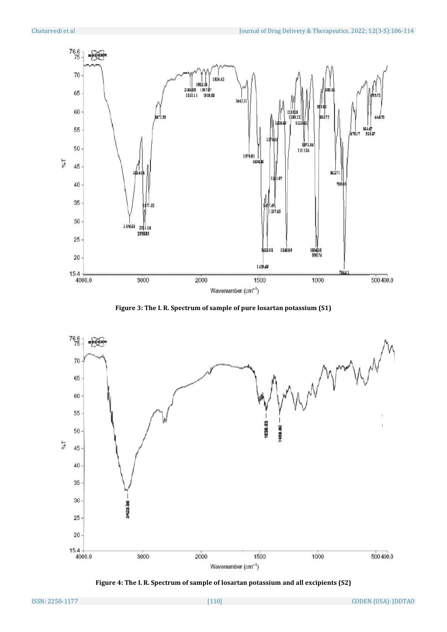

**Figure 3: The I. R. Spectrum of sample of pure losartan potassium (S1)**



**Figure 4: The I. R. Spectrum of sample of losartan potassium and all excipients (S2)**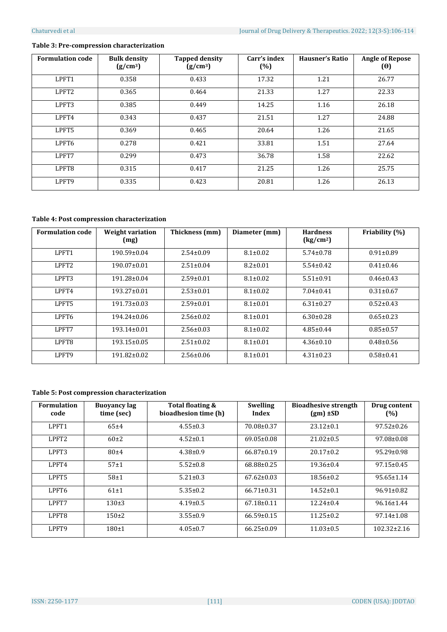#### **Table 3: Pre-compression characterization**

| <b>Formulation code</b> | <b>Bulk density</b><br>(g/cm <sup>3</sup> ) | <b>Tapped density</b><br>(g/cm <sup>3</sup> ) | Carr's index<br>(%) | <b>Hausner's Ratio</b> | <b>Angle of Repose</b><br>$(\theta)$ |
|-------------------------|---------------------------------------------|-----------------------------------------------|---------------------|------------------------|--------------------------------------|
| LPFT1                   | 0.358                                       | 0.433                                         | 17.32               | 1.21                   | 26.77                                |
| LPFT <sub>2</sub>       | 0.365                                       | 0.464                                         | 21.33               | 1.27                   | 22.33                                |
| LPFT3                   | 0.385                                       | 0.449                                         | 14.25               | 1.16                   | 26.18                                |
| LPFT4                   | 0.343                                       | 0.437                                         | 21.51               | 1.27                   | 24.88                                |
| LPFT5                   | 0.369                                       | 0.465                                         | 20.64               | 1.26                   | 21.65                                |
| LPFT6                   | 0.278                                       | 0.421                                         | 33.81               | 1.51                   | 27.64                                |
| LPFT7                   | 0.299                                       | 0.473                                         | 36.78               | 1.58                   | 22.62                                |
| LPFT8                   | 0.315                                       | 0.417                                         | 21.25               | 1.26                   | 25.75                                |
| LPFT9                   | 0.335                                       | 0.423                                         | 20.81               | 1.26                   | 26.13                                |

#### **Table 4: Post compression characterization**

| <b>Formulation code</b> | Weight variation<br>(mg) | Thickness (mm)  | Diameter (mm)  | <b>Hardness</b><br>(kg/cm <sup>2</sup> ) | Friability (%)  |
|-------------------------|--------------------------|-----------------|----------------|------------------------------------------|-----------------|
| LPFT1                   | $190.59 \pm 0.04$        | $2.54 \pm 0.09$ | $8.1 \pm 0.02$ | $5.74 \pm 0.78$                          | $0.91 \pm 0.89$ |
| LPFT <sub>2</sub>       | $190.07\pm0.01$          | $2.51 \pm 0.04$ | $8.2 \pm 0.01$ | $5.54 \pm 0.42$                          | $0.41 \pm 0.46$ |
| LPFT3                   | 191.28±0.04              | $2.59 \pm 0.01$ | $8.1 \pm 0.02$ | $5.51 \pm 0.91$                          | $0.46 \pm 0.43$ |
| LPFT4                   | $193.27 \pm 0.01$        | $2.53 \pm 0.01$ | $8.1 \pm 0.02$ | $7.04 \pm 0.41$                          | $0.31 \pm 0.67$ |
| LPFT5                   | 191.73±0.03              | $2.59 \pm 0.01$ | $8.1 \pm 0.01$ | $6.31 \pm 0.27$                          | $0.52 \pm 0.43$ |
| LPFT6                   | $194.24 \pm 0.06$        | $2.56 \pm 0.02$ | $8.1 \pm 0.01$ | $6.30 \pm 0.28$                          | $0.65 \pm 0.23$ |
| LPFT7                   | $193.14 \pm 0.01$        | $2.56 \pm 0.03$ | $8.1 \pm 0.02$ | $4.85 \pm 0.44$                          | $0.85 \pm 0.57$ |
| LPFT8                   | 193.15±0.05              | $2.51 \pm 0.02$ | $8.1 \pm 0.01$ | $4.36 \pm 0.10$                          | $0.48 \pm 0.56$ |
| LPFT9                   | 191.82±0.02              | $2.56 \pm 0.06$ | $8.1 \pm 0.01$ | $4.31 \pm 0.23$                          | $0.58 + 0.41$   |

#### **Table 5: Post compression characterization**

| <b>Formulation</b><br>code | <b>Buoyancy lag</b><br>time (sec) | Total floating &<br>bioadhesion time (h) | <b>Swelling</b><br>Index | <b>Bioadhesive strength</b><br>$(gm) \pm SD$ | Drug content<br>(%) |
|----------------------------|-----------------------------------|------------------------------------------|--------------------------|----------------------------------------------|---------------------|
| LPFT1                      | $65+4$                            | $4.55 \pm 0.3$                           | 70.08±0.37               | $23.12 \pm 0.1$                              | $97.52 \pm 0.26$    |
| LPFT <sub>2</sub>          | $60\pm2$                          | $4.52 \pm 0.1$                           | $69.05 \pm 0.08$         | $21.02 \pm 0.5$                              | $97.08 \pm 0.08$    |
| LPFT3                      | $80 + 4$                          | $4.38 \pm 0.9$                           | $66.87 \pm 0.19$         | $20.17 \pm 0.2$                              | $95.29 \pm 0.98$    |
| LPFT4                      | 57±1                              | $5.52 \pm 0.8$                           | 68.88±0.25               | $19.36 \pm 0.4$                              | $97.15 \pm 0.45$    |
| LPFT5                      | 58±1                              | $5.21 \pm 0.3$                           | $67.62 \pm 0.03$         | $18.56 \pm 0.2$                              | $95.65 \pm 1.14$    |
| LPFT6                      | $61\pm1$                          | $5.35 \pm 0.2$                           | $66.71 \pm 0.31$         | $14.52 \pm 0.1$                              | $96.91 \pm 0.82$    |
| LPFT7                      | $130+3$                           | $4.19 \pm 0.5$                           | $67.18 \pm 0.11$         | $12.24 \pm 0.4$                              | $96.16 \pm 1.44$    |
| LPFT8                      | $150+2$                           | $3.55 \pm 0.9$                           | $66.59 \pm 0.15$         | $11.25 \pm 0.2$                              | $97.14 \pm 1.08$    |
| LPFT9                      | $180+1$                           | $4.05 \pm 0.7$                           | $66.25 \pm 0.09$         | $11.03 \pm 0.5$                              | $102.32 \pm 2.16$   |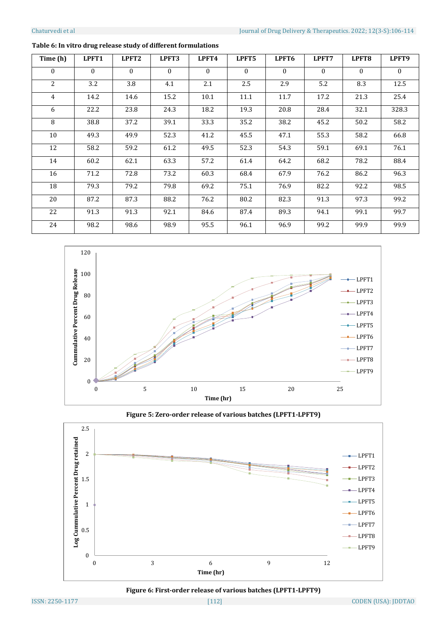| Time (h)       | LPFT1    | LPFT <sub>2</sub> | LPFT3    | LPFT4        | LPFT5    | LPFT6    | LPFT7        | LPFT <sub>8</sub> | LPFT9    |
|----------------|----------|-------------------|----------|--------------|----------|----------|--------------|-------------------|----------|
| $\Omega$       | $\Omega$ | $\Omega$          | $\theta$ | $\mathbf{0}$ | $\Omega$ | $\Omega$ | $\mathbf{0}$ | $\theta$          | $\Omega$ |
| 2              | 3.2      | 3.8               | 4.1      | 2.1          | 2.5      | 2.9      | 5.2          | 8.3               | 12.5     |
| $\overline{4}$ | 14.2     | 14.6              | 15.2     | 10.1         | 11.1     | 11.7     | 17.2         | 21.3              | 25.4     |
| 6              | 22.2     | 23.8              | 24.3     | 18.2         | 19.3     | 20.8     | 28.4         | 32.1              | 328.3    |
| 8              | 38.8     | 37.2              | 39.1     | 33.3         | 35.2     | 38.2     | 45.2         | 50.2              | 58.2     |
| 10             | 49.3     | 49.9              | 52.3     | 41.2         | 45.5     | 47.1     | 55.3         | 58.2              | 66.8     |
| 12             | 58.2     | 59.2              | 61.2     | 49.5         | 52.3     | 54.3     | 59.1         | 69.1              | 76.1     |
| 14             | 60.2     | 62.1              | 63.3     | 57.2         | 61.4     | 64.2     | 68.2         | 78.2              | 88.4     |
| 16             | 71.2     | 72.8              | 73.2     | 60.3         | 68.4     | 67.9     | 76.2         | 86.2              | 96.3     |
| 18             | 79.3     | 79.2              | 79.8     | 69.2         | 75.1     | 76.9     | 82.2         | 92.2              | 98.5     |
| 20             | 87.2     | 87.3              | 88.2     | 76.2         | 80.2     | 82.3     | 91.3         | 97.3              | 99.2     |
| 22             | 91.3     | 91.3              | 92.1     | 84.6         | 87.4     | 89.3     | 94.1         | 99.1              | 99.7     |
| 24             | 98.2     | 98.6              | 98.9     | 95.5         | 96.1     | 96.9     | 99.2         | 99.9              | 99.9     |

## **Table 6: In vitro drug release study of different formulations**



**Figure 5: Zero-order release of various batches (LPFT1-LPFT9)**



**Figure 6: First-order release of various batches (LPFT1-LPFT9)**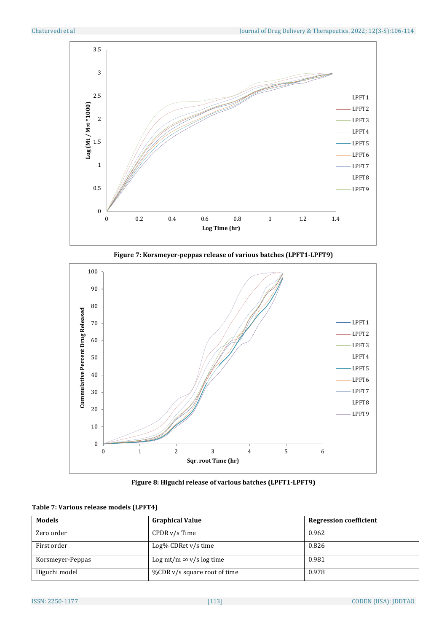





**Figure 8: Higuchi release of various batches (LPFT1-LPFT9)**

| Table 7: Various release models (LPFT4) |  |  |
|-----------------------------------------|--|--|
|-----------------------------------------|--|--|

| <b>Models</b>    | <b>Graphical Value</b>         | <b>Regression coefficient</b> |
|------------------|--------------------------------|-------------------------------|
| Zero order       | $CPDR v/s$ Time                | 0.962                         |
| First order      | Log% CDRet v/s time            | 0.826                         |
| Korsmeyer-Peppas | Log mt/m $\infty$ v/s log time | 0.981                         |
| Higuchi model    | %CDR v/s square root of time   | 0.978                         |